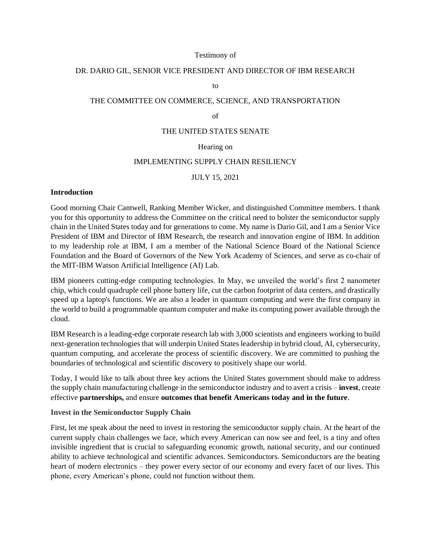#### Testimony of

#### DR. DARIO GIL, SENIOR VICE PRESIDENT AND DIRECTOR OF IBM RESEARCH

to

# THE COMMITTEE ON COMMERCE, SCIENCE, AND TRANSPORTATION

### of

# THE UNITED STATES SENATE

# Hearing on

### IMPLEMENTING SUPPLY CHAIN RESILIENCY

#### JULY 15, 2021

#### **Introduction**

Good morning Chair Cantwell, Ranking Member Wicker, and distinguished Committee members. I thank you for this opportunity to address the Committee on the critical need to bolster the semiconductor supply chain in the United States today and for generations to come. My name is Dario Gil, and I am a Senior Vice President of IBM and Director of IBM Research, the research and innovation engine of IBM. In addition to my leadership role at IBM, I am a member of the National Science Board of the National Science Foundation and the Board of Governors of the New York Academy of Sciences, and serve as co-chair of the MIT-IBM Watson Artificial Intelligence (AI) Lab.

IBM pioneers cutting-edge computing technologies. In May, we unveiled the world's first 2 nanometer chip, which could quadruple cell phone battery life, cut the carbon footprint of data centers, and drastically speed up a laptop's functions. We are also a leader in quantum computing and were the first company in the world to build a programmable quantum computer and make its computing power available through the cloud.

IBM Research is a leading-edge corporate research lab with 3,000 scientists and engineers working to build next-generation technologies that will underpin United States leadership in hybrid cloud, AI, cybersecurity, quantum computing, and accelerate the process of scientific discovery. We are committed to pushing the boundaries of technological and scientific discovery to positively shape our world.

Today, I would like to talk about three key actions the United States government should make to address the supply chain manufacturing challenge in the semiconductor industry and to avert a crisis – **invest**, create effective **partnerships,** and ensure **outcomes that benefit Americans today and in the future**.

#### **Invest in the Semiconductor Supply Chain**

First, let me speak about the need to invest in restoring the semiconductor supply chain. At the heart of the current supply chain challenges we face, which every American can now see and feel, is a tiny and often invisible ingredient that is crucial to safeguarding economic growth, national security, and our continued ability to achieve technological and scientific advances. Semiconductors. Semiconductors are the beating heart of modern electronics – they power every sector of our economy and every facet of our lives. This phone, every American's phone, could not function without them.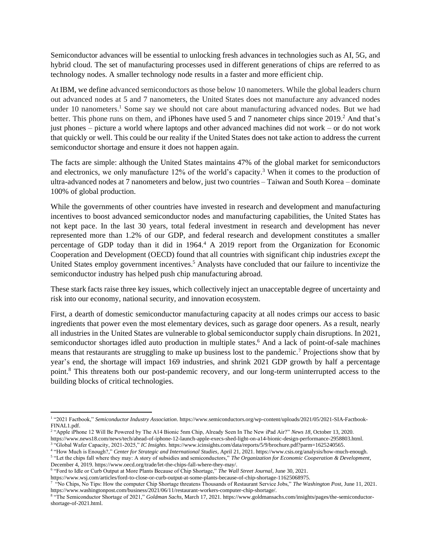Semiconductor advances will be essential to unlocking fresh advances in technologies such as AI, 5G, and hybrid cloud. The set of manufacturing processes used in different generations of chips are referred to as technology nodes. A smaller technology node results in a faster and more efficient chip.

At IBM, we define advanced semiconductors as those below 10 nanometers. While the global leaders churn out advanced nodes at 5 and 7 nanometers, the United States does not manufacture any advanced nodes under 10 nanometers.<sup>1</sup> Some say we should not care about manufacturing advanced nodes. But we had better. This phone runs on them, and iPhones have used 5 and 7 nanometer chips since 2019.<sup>2</sup> And that's just phones – picture a world where laptops and other advanced machines did not work – or do not work that quickly or well. This could be our reality if the United States does not take action to address the current semiconductor shortage and ensure it does not happen again.

The facts are simple: although the United States maintains 47% of the global market for semiconductors and electronics, we only manufacture 12% of the world's capacity.<sup>3</sup> When it comes to the production of ultra-advanced nodes at 7 nanometers and below, just two countries – Taiwan and South Korea – dominate 100% of global production.

While the governments of other countries have invested in research and development and manufacturing incentives to boost advanced semiconductor nodes and manufacturing capabilities, the United States has not kept pace. In the last 30 years, total federal investment in research and development has never represented more than 1.2% of our GDP, and federal research and development constitutes a smaller percentage of GDP today than it did in 1964.<sup>4</sup> A 2019 report from the Organization for Economic Cooperation and Development (OECD) found that all countries with significant chip industries *except* the United States employ government incentives.<sup>5</sup> Analysts have concluded that our failure to incentivize the semiconductor industry has helped push chip manufacturing abroad.

These stark facts raise three key issues, which collectively inject an unacceptable degree of uncertainty and risk into our economy, national security, and innovation ecosystem.

First, a dearth of domestic semiconductor manufacturing capacity at all nodes crimps our access to basic ingredients that power even the most elementary devices, such as garage door openers. As a result, nearly all industries in the United States are vulnerable to global semiconductor supply chain disruptions. In 2021, semiconductor shortages idled auto production in multiple states.<sup>6</sup> And a lack of point-of-sale machines means that restaurants are struggling to make up business lost to the pandemic.<sup>7</sup> Projections show that by year's end, the shortage will impact 169 industries, and shrink 2021 GDP growth by half a percentage point.<sup>8</sup> This threatens both our post-pandemic recovery, and our long-term uninterrupted access to the building blocks of critical technologies.

<sup>1</sup> "2021 Factbook," *Semiconductor Industry Association*. https://www.semiconductors.org/wp-content/uploads/2021/05/2021-SIA-Factbook-FINAL1.pdf.

<sup>2</sup> "Apple iPhone 12 Will Be Powered by The A14 Bionic 5nm Chip, Already Seen In The New iPad Air?" *News 18*, October 13, 2020. https://www.news18.com/news/tech/ahead-of-iphone-12-launch-apple-execs-shed-light-on-a14-bionic-design-performance-2958803.html.

<sup>3</sup> "Global Wafer Capacity, 2021-2025," *IC Insights*. https://www.icinsights.com/data/reports/5/9/brochure.pdf?parm=1625240565.

<sup>4</sup> "How Much is Enough?," *Center for Strategic and International Studies*, April 21, 2021. https://www.csis.org/analysis/how-much-enough.

<sup>5</sup> "Let the chips fall where they may: A story of subsidies and semiconductors," *The Organization for Economic Cooperation & Development*, December 4, 2019. https://www.oecd.org/trade/let-the-chips-fall-where-they-may/.

<sup>6</sup> "Ford to Idle or Curb Output at More Plants Because of Chip Shortage," *The Wall Street Journal*, June 30, 2021.

https://www.wsj.com/articles/ford-to-close-or-curb-output-at-some-plants-because-of-chip-shortage-11625068975.

<sup>&</sup>lt;sup>7</sup> "No Chips, No Tips: How the computer Chip Shortage threatens Thousands of Restaurant Service Jobs," The Washington Post, June 11, 2021. https://www.washingtonpost.com/business/2021/06/11/restaurant-workers-computer-chip-shortage/.

<sup>8</sup> "The Semiconductor Shortage of 2021," *Goldman Sachs*, March 17, 2021. https://www.goldmansachs.com/insights/pages/the-semiconductorshortage-of-2021.html.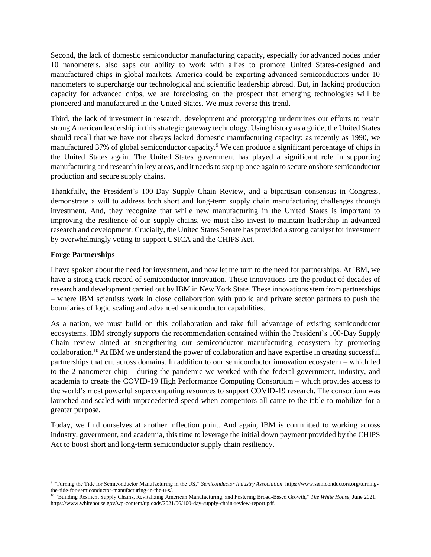Second, the lack of domestic semiconductor manufacturing capacity, especially for advanced nodes under 10 nanometers, also saps our ability to work with allies to promote United States-designed and manufactured chips in global markets. America could be exporting advanced semiconductors under 10 nanometers to supercharge our technological and scientific leadership abroad. But, in lacking production capacity for advanced chips, we are foreclosing on the prospect that emerging technologies will be pioneered and manufactured in the United States. We must reverse this trend.

Third, the lack of investment in research, development and prototyping undermines our efforts to retain strong American leadership in this strategic gateway technology. Using history as a guide, the United States should recall that we have not always lacked domestic manufacturing capacity: as recently as 1990, we manufactured 37% of global semiconductor capacity.<sup>9</sup> We can produce a significant percentage of chips in the United States again. The United States government has played a significant role in supporting manufacturing and research in key areas, and it needs to step up once again to secure onshore semiconductor production and secure supply chains.

Thankfully, the President's 100-Day Supply Chain Review, and a bipartisan consensus in Congress, demonstrate a will to address both short and long-term supply chain manufacturing challenges through investment. And, they recognize that while new manufacturing in the United States is important to improving the resilience of our supply chains, we must also invest to maintain leadership in advanced research and development. Crucially, the United States Senate has provided a strong catalyst for investment by overwhelmingly voting to support USICA and the CHIPS Act.

## **Forge Partnerships**

I have spoken about the need for investment, and now let me turn to the need for partnerships. At IBM, we have a strong track record of semiconductor innovation. These innovations are the product of decades of research and development carried out by IBM in New York State. These innovations stem from partnerships – where IBM scientists work in close collaboration with public and private sector partners to push the boundaries of logic scaling and advanced semiconductor capabilities.

As a nation, we must build on this collaboration and take full advantage of existing semiconductor ecosystems. IBM strongly supports the recommendation contained within the President's 100-Day Supply Chain review aimed at strengthening our semiconductor manufacturing ecosystem by promoting collaboration. <sup>10</sup> At IBM we understand the power of collaboration and have expertise in creating successful partnerships that cut across domains. In addition to our semiconductor innovation ecosystem – which led to the 2 nanometer chip – during the pandemic we worked with the federal government, industry, and academia to create the COVID-19 High Performance Computing Consortium – which provides access to the world's most powerful supercomputing resources to support COVID-19 research. The consortium was launched and scaled with unprecedented speed when competitors all came to the table to mobilize for a greater purpose.

Today, we find ourselves at another inflection point. And again, IBM is committed to working across industry, government, and academia, this time to leverage the initial down payment provided by the CHIPS Act to boost short and long-term semiconductor supply chain resiliency.

<sup>9</sup> "Turning the Tide for Semiconductor Manufacturing in the US," *Semiconductor Industry Association*. https://www.semiconductors.org/turningthe-tide-for-semiconductor-manufacturing-in-the-u-s/.

<sup>10</sup> "Building Resilient Supply Chains, Revitalizing American Manufacturing, and Fostering Broad-Based Growth," *The White House*, June 2021. https://www.whitehouse.gov/wp-content/uploads/2021/06/100-day-supply-chain-review-report.pdf.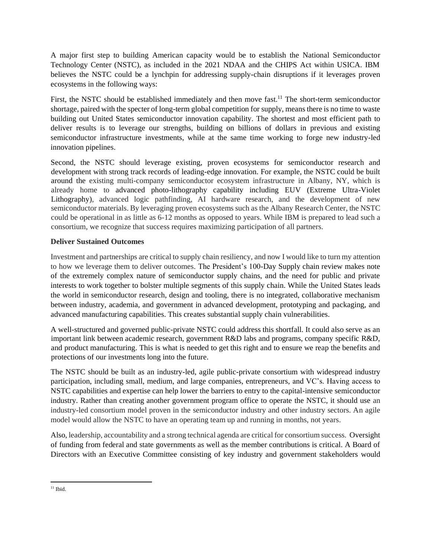A major first step to building American capacity would be to establish the National Semiconductor Technology Center (NSTC), as included in the 2021 NDAA and the CHIPS Act within USICA. IBM believes the NSTC could be a lynchpin for addressing supply-chain disruptions if it leverages proven ecosystems in the following ways:

First, the NSTC should be established immediately and then move fast.<sup>11</sup> The short-term semiconductor shortage, paired with the specter of long-term global competition for supply, means there is no time to waste building out United States semiconductor innovation capability. The shortest and most efficient path to deliver results is to leverage our strengths, building on billions of dollars in previous and existing semiconductor infrastructure investments, while at the same time working to forge new industry-led innovation pipelines.

Second, the NSTC should leverage existing, proven ecosystems for semiconductor research and development with strong track records of leading-edge innovation. For example, the NSTC could be built around the existing multi-company semiconductor ecosystem infrastructure in Albany, NY, which is already home to advanced photo-lithography capability including EUV (Extreme Ultra-Violet Lithography), advanced logic pathfinding, AI hardware research, and the development of new semiconductor materials. By leveraging proven ecosystems such as the Albany Research Center, the NSTC could be operational in as little as 6-12 months as opposed to years. While IBM is prepared to lead such a consortium, we recognize that success requires maximizing participation of all partners.

# **Deliver Sustained Outcomes**

Investment and partnerships are critical to supply chain resiliency, and now I would like to turn my attention to how we leverage them to deliver outcomes. The President's 100-Day Supply chain review makes note of the extremely complex nature of semiconductor supply chains, and the need for public and private interests to work together to bolster multiple segments of this supply chain. While the United States leads the world in semiconductor research, design and tooling, there is no integrated, collaborative mechanism between industry, academia, and government in advanced development, prototyping and packaging, and advanced manufacturing capabilities. This creates substantial supply chain vulnerabilities.

A well-structured and governed public-private NSTC could address this shortfall. It could also serve as an important link between academic research, government R&D labs and programs, company specific R&D, and product manufacturing. This is what is needed to get this right and to ensure we reap the benefits and protections of our investments long into the future.

The NSTC should be built as an industry-led, agile public-private consortium with widespread industry participation, including small, medium, and large companies, entrepreneurs, and VC's. Having access to NSTC capabilities and expertise can help lower the barriers to entry to the capital-intensive semiconductor industry. Rather than creating another government program office to operate the NSTC, it should use an industry-led consortium model proven in the semiconductor industry and other industry sectors. An agile model would allow the NSTC to have an operating team up and running in months, not years.

Also, leadership, accountability and a strong technical agenda are critical for consortium success. Oversight of funding from federal and state governments as well as the member contributions is critical. A Board of Directors with an Executive Committee consisting of key industry and government stakeholders would

 $11$  Ibid.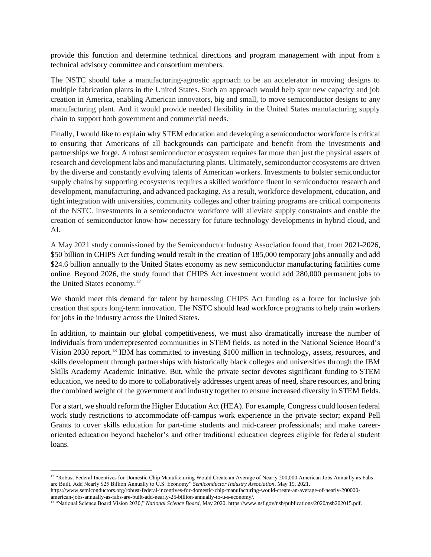provide this function and determine technical directions and program management with input from a technical advisory committee and consortium members.

The NSTC should take a manufacturing-agnostic approach to be an accelerator in moving designs to multiple fabrication plants in the United States. Such an approach would help spur new capacity and job creation in America, enabling American innovators, big and small, to move semiconductor designs to any manufacturing plant. And it would provide needed flexibility in the United States manufacturing supply chain to support both government and commercial needs.

Finally, I would like to explain why STEM education and developing a semiconductor workforce is critical to ensuring that Americans of all backgrounds can participate and benefit from the investments and partnerships we forge. A robust semiconductor ecosystem requires far more than just the physical assets of research and development labs and manufacturing plants. Ultimately, semiconductor ecosystems are driven by the diverse and constantly evolving talents of American workers. Investments to bolster semiconductor supply chains by supporting ecosystems requires a skilled workforce fluent in semiconductor research and development, manufacturing, and advanced packaging. As a result, workforce development, education, and tight integration with universities, community colleges and other training programs are critical components of the NSTC. Investments in a semiconductor workforce will alleviate supply constraints and enable the creation of semiconductor know-how necessary for future technology developments in hybrid cloud, and AI.

A May 2021 study commissioned by the Semiconductor Industry Association found that, from 2021-2026, \$50 billion in CHIPS Act funding would result in the creation of 185,000 temporary jobs annually and add \$24.6 billion annually to the United States economy as new semiconductor manufacturing facilities come online. Beyond 2026, the study found that CHIPS Act investment would add 280,000 permanent jobs to the United States economy.<sup>12</sup>

We should meet this demand for talent by harnessing CHIPS Act funding as a force for inclusive job creation that spurs long-term innovation. The NSTC should lead workforce programs to help train workers for jobs in the industry across the United States.

In addition, to maintain our global competitiveness, we must also dramatically increase the number of individuals from underrepresented communities in STEM fields, as noted in the National Science Board's Vision 2030 report.<sup>13</sup> IBM has committed to investing \$100 million in technology, assets, resources, and skills development through partnerships with historically black colleges and universities through the IBM Skills Academy Academic Initiative. But, while the private sector devotes significant funding to STEM education, we need to do more to collaboratively addresses urgent areas of need, share resources, and bring the combined weight of the government and industry together to ensure increased diversity in STEM fields.

For a start, we should reform the Higher Education Act (HEA). For example, Congress could loosen federal work study restrictions to accommodate off-campus work experience in the private sector; expand Pell Grants to cover skills education for part-time students and mid-career professionals; and make careeroriented education beyond bachelor's and other traditional education degrees eligible for federal student loans.

<sup>&</sup>lt;sup>12</sup> "Robust Federal Incentives for Domestic Chip Manufacturing Would Create an Average of Nearly 200,000 American Jobs Annually as Fabs are Built, Add Nearly \$25 Billion Annually to U.S. Economy" *Semiconductor Industry Association*, May 19, 2021.

https://www.semiconductors.org/robust-federal-incentives-for-domestic-chip-manufacturing-would-create-an-average-of-nearly-200000 american-jobs-annually-as-fabs-are-built-add-nearly-25-billion-annually-to-u-s-economy/.

<sup>&</sup>lt;sup>13</sup> "National Science Board Vision 2030," *National Science Board*, May 2020. https://www.nsf.gov/nsb/publications/2020/nsb202015.pdf.